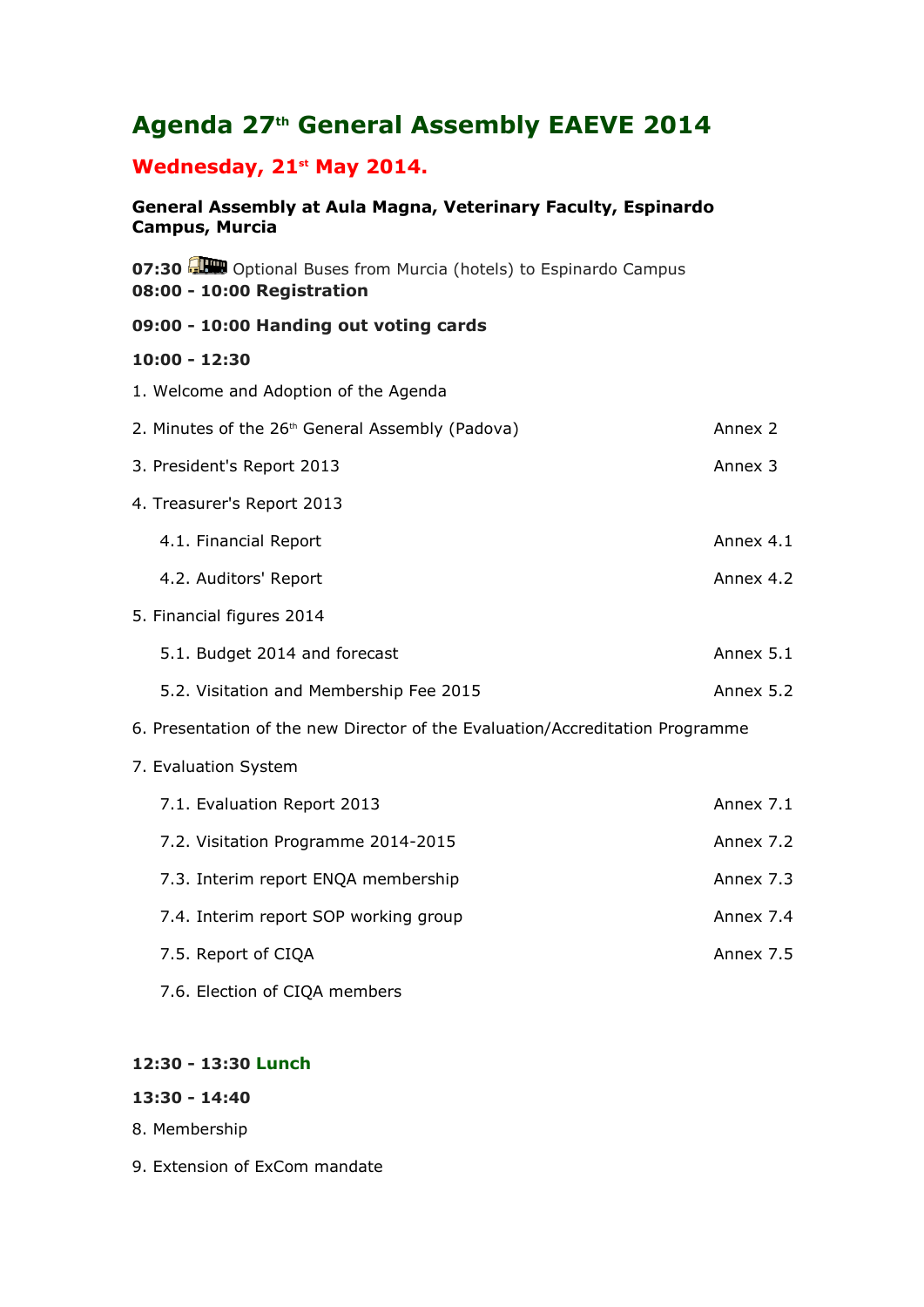# **Agenda 27th General Assembly EAEVE 2014**

# **Wednesday, 21st May 2014.**

**General Assembly at Aula Magna, Veterinary Faculty, Espinardo Campus, Murcia** 

**07:30 Optional Buses from Murcia (hotels) to Espinardo Campus 08:00 - 10:00 Registration**

#### **09:00 - 10:00 Handing out voting cards**

#### **10:00 - 12:30**

- 1. Welcome and Adoption of the Agenda 2. Minutes of the 26<sup>th</sup> General Assembly (Padova) and announced announced 2 3. President's Report 2013 **Annex 3** Annex 3 4. Treasurer's Report 2013 4.1. Financial Report **Annex 4.1** Annex 4.1 4.2. Auditors' Report **Annex 4.2** Annex 4.2 5. Financial figures 2014 5.1. Budget 2014 and forecast Annex 5.1 5.2. Visitation and Membership Fee 2015 Annex 5.2 6. Presentation of the new Director of the Evaluation/Accreditation Programme 7. Evaluation System 7.1. Evaluation Report 2013 **Annex 7.1** Annex 7.1 7.2. Visitation Programme 2014-2015 7.3. Interim report ENOA membership Annex 7.3 7.4. Interim report SOP working group Theorem Annex 7.4 7.5. Report of CIQA Annex 7.5
	- 7.6. Election of CIQA members

## **12:30 - 13:30 Lunch**

#### **13:30 - 14:40**

- 8. Membership
- 9. Extension of ExCom mandate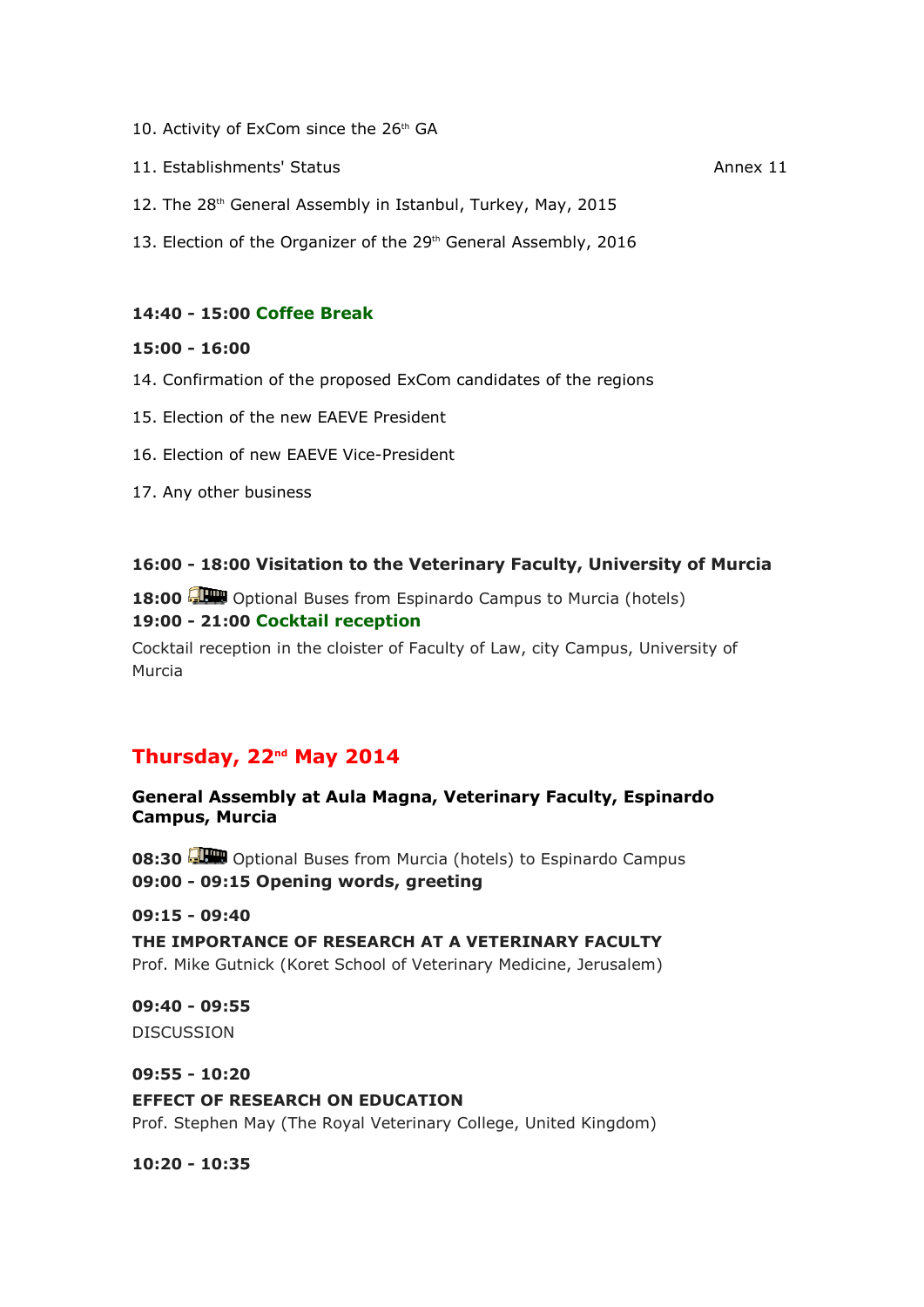- 10. Activity of ExCom since the  $26<sup>th</sup>$  GA
- 11. Establishments' Status Annex 11
- 12. The 28<sup>th</sup> General Assembly in Istanbul, Turkey, May, 2015
- 13. Election of the Organizer of the 29<sup>th</sup> General Assembly, 2016

#### **14:40 - 15:00 Coffee Break**

#### **15:00 - 16:00**

- 14. Confirmation of the proposed ExCom candidates of the regions
- 15. Election of the new EAEVE President
- 16. Election of new EAEVE Vice-President
- 17. Any other business

#### **16:00 - 18:00 Visitation to the Veterinary Faculty, University of Murcia**

**18:00** Optional Buses from Espinardo Campus to Murcia (hotels) **19:00 - 21:00 Cocktail reception**

Cocktail reception in the cloister of Faculty of Law, city Campus, University of Murcia

# **Thursday, 22nd May 2014**

**General Assembly at Aula Magna, Veterinary Faculty, Espinardo Campus, Murcia** 

**08:30** Optional Buses from Murcia (hotels) to Espinardo Campus **09:00 - 09:15 Opening words, greeting**

#### **09:15 - 09:40**

**THE IMPORTANCE OF RESEARCH AT A VETERINARY FACULTY** Prof. Mike Gutnick (Koret School of Veterinary Medicine, Jerusalem)

#### **09:40 - 09:55**

**DISCUSSION** 

#### **09:55 - 10:20**

#### **EFFECT OF RESEARCH ON EDUCATION**

Prof. Stephen May (The Royal Veterinary College, United Kingdom)

**10:20 - 10:35**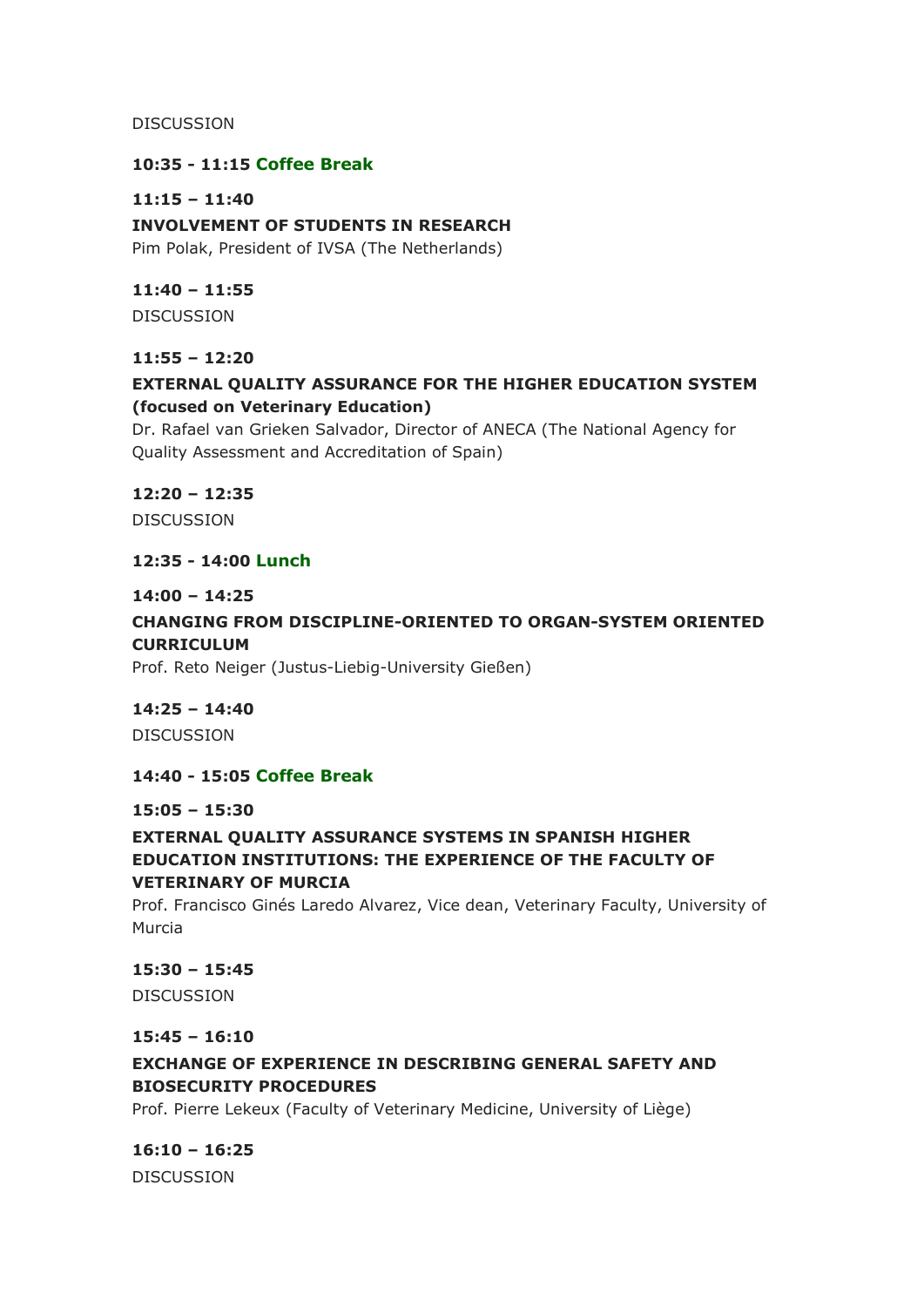DISCUSSION

#### **10:35 - 11:15 Coffee Break**

#### **11:15 – 11:40**

**INVOLVEMENT OF STUDENTS IN RESEARCH**

Pim Polak, President of IVSA (The Netherlands)

#### **11:40 – 11:55**

DISCUSSION

## **11:55 – 12:20**

# **EXTERNAL QUALITY ASSURANCE FOR THE HIGHER EDUCATION SYSTEM (focused on Veterinary Education)**

Dr. Rafael van Grieken Salvador, Director of ANECA (The National Agency for Quality Assessment and Accreditation of Spain)

# **12:20 – 12:35**

**DISCUSSION** 

## **12:35 - 14:00 Lunch**

#### **14:00 – 14:25**

# **CHANGING FROM DISCIPLINE-ORIENTED TO ORGAN-SYSTEM ORIENTED CURRICULUM**

Prof. Reto Neiger (Justus-Liebig-University Gießen)

# **14:25 – 14:40**

DISCUSSION

# **14:40 - 15:05 Coffee Break**

#### **15:05 – 15:30**

# **EXTERNAL QUALITY ASSURANCE SYSTEMS IN SPANISH HIGHER EDUCATION INSTITUTIONS: THE EXPERIENCE OF THE FACULTY OF VETERINARY OF MURCIA**

Prof. Francisco Ginés Laredo Alvarez, Vice dean, Veterinary Faculty, University of Murcia

#### **15:30 – 15:45**

DISCUSSION

#### **15:45 – 16:10**

# **EXCHANGE OF EXPERIENCE IN DESCRIBING GENERAL SAFETY AND BIOSECURITY PROCEDURES**

Prof. Pierre Lekeux (Faculty of Veterinary Medicine, University of Liège)

**16:10 – 16:25**  DISCUSSION